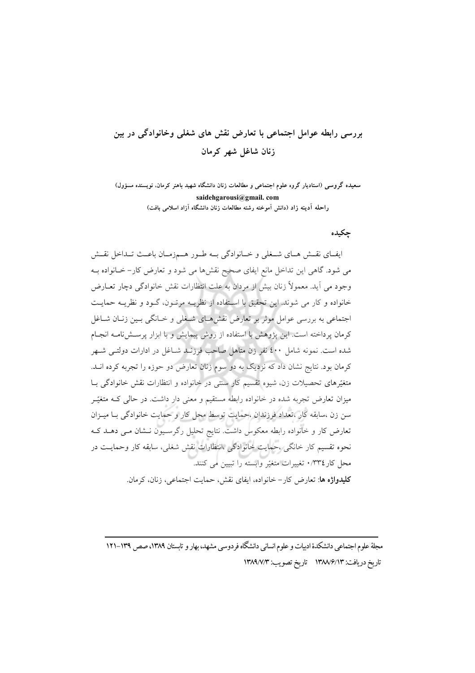# بررسی رابطه عوامل اجتماعی با تعارض نقش های شغلی وخانوادگی در بین زنان شاغل شهر کرمان

سعیده گروسی (استادیار گروه علوم اجتماعی و مطالعات زنان دانشگاه شهید باهنر کرمان، نویسنده مسؤول) saidehgarousi@gmail.com

راحله آدینه زاد (دانش آموخته رشته مطالعات زنان دانشگاه آزاد اسلامی بافت)

### جكبده

ايفـاي نقـش هـاي شـغلي و خـانوادگي بــه طـور هــمزمـان باعـث تــداخل نقـش می شود. گاهی این تداخل مانع ایفای صحیح نقشها می شود و تعارض کار– خــانواده بــه وجود می آید. معمولاً زنان بیش از مردان به علت انتظارات نقش خانوادگی دچار تعــارض .<br>خانواده و کار می شوند. این تحقیق با استفاده از نظریــه مرتــون، گــود و نظریــه حمایــت اجتماعی به بررسی عوامل موثر بر تعارض نقش هـای شـخلی و خــانگی بـین زنــان شــاغل کرمان پرداخته است. این پژوهش با استفاده از روش پیمایش و با ابزار پرســشiامــه انجــام شده است. نمونه شامل ٤٠٠ نفر زن متاهل صاحب فرزنـد شـاغل در ادارات دولتـی شـهر کرمان بود. نتایج نشان داد که نزدیک به دو سوم زنان تعارض دو حوزه را تجربه کرده انــد. متغیّرهای تحصیلات زن، شیوه تقسیم کار سنتی در خانواده و انتظارات نقش خانوادگی بـا میزان تعارض تجربه شده در خانواده رابطه مستقیم و معنی دار داشت. در حالی کـه متغیّـر سن زن ،سابقه کار ،تعداد فرزندان ،حمایت توسط محل کار و حمایت خانوادگی بـا میـزان تعارض کار و خانواده رابطه معکوس داشت. نتایج تحلیل رگرسـیون نـشان مـی دهـد کـه نحوه تقسیم کار خانگی ،حمایت خانوادگی ،انتظارات نقش شغلی، سابقه کار وحمایـت در محل كار ٣٣٤/٠ تغييرات متغيّر وابسته را تبيين مي كنند. **كليدواژه ها**: تعارض كار– خانواده، ايفاي نقش، حمايت اجتماعي، زنان، كرمان.

مجلهٔ علوم اجتماعی دانشکدهٔ ادییات و علوم انسانی دانشگاه فردوسی مشهد، بهار و تابستان ۱۳۸۹، صص ۱۳۹–۱۲۱ تاريخ دريافت: ١٣٨٨/٦٣ تاريخ تصويب: ١٣٨٩/٧/٣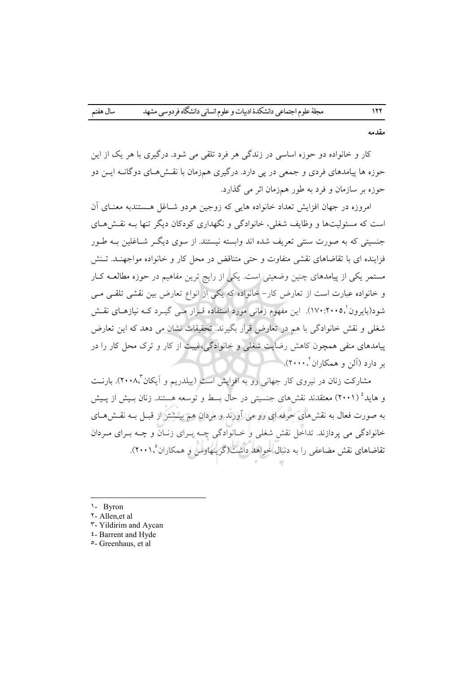مقدمه

کار و خانواده دو حوزه اساسی در زندگی هر فرد تلقی می شود. درگیری با هر یک از این حوزه ها پیامدهای فردی و جمعی در پی دارد. درگیری همزمان با نقـشهـای دوگانــه ایــن دو حوزه بر سازمان و فرد به طور همزمان اثر می گذارد.

امروزه در جهان افزایش تعداد خانواده هایی که زوجین هردو شــاغل هــستندبه معنــای اَن است که مسئولیتها و وظایف شغلی، خانوادگی و نگهداری کودکان دیگر تنها بـه نقـش هـای جنسیتی که به صورت سنتی تعریف شده اند وابسته نیستند. از سوی دیگ شــاغلین بــه طــور فزاینده ای با تقاضاهای نقشی متفاوت و حتی متناقض در محل کار و خانواده مواجهنـد. تـنش مستمر یکی از پیامدهای چنین وضعیتی است. یکی از رایج ترین مفاهیم در حوزه مطالعــه کــار و خانواده عبارت است از تعارض كار– خانواده كه يكي از انواع تعارض بين نقشى تلقـى مـى شود(بایرون'،۲۰۰۵: ۱۷۰). این مفهوم زمانی مورد استفاده قـرار مـبی گیـرد کــه نیازهـای نقــش شغلی و نقش خانوادگی با هم در تعارض قرار بگیرند. تحقیقات نشان می دهد که این تعارض یبامدهای منفی همچون کاهش رضایت شغلی و خانوادگی،غست از کار و ترک محل کار را در بر دارد (آلن و همکاران<sup>۲</sup>،۰۰۰).

مشارکت زنان در نیروی کار جهانی رو به افزایش است (پیلدریم و اَیکان"۲۰۰۸). بارنـت و هاید<sup>؛</sup> (۲۰۰۱) معتقدند نقش های جنسیتی در حال بسط و توسعه هستند. زنان بـیش از پـیش به صورت فعال به نقشهای حرفه ای رو می آورند و مردان هم بیــشتر از قبــل بــه نقــشهــای خانوادگی می پردازند. تداخل نقش شغلی و خـانوادگی چـه بـرای زنـان و چـه بـرای مـردان تقاضاهای نقش مضاعفی را به دنبال خواهد داشت(گرینهاوس و همکاران ۲۰۰۱،°).

- 1- Byron
- ۲ Allen.et al
- **T**-Yildirim and Aycan
- *i*-Barrent and Hyde
- °- Greenhaus, et al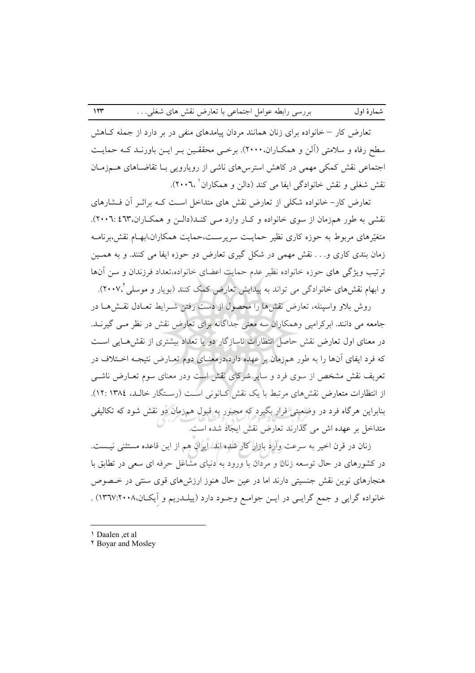تعارض کار – خانواده برای زنان همانند مردان پیامدهای منفی در بر دارد از جمله کـاهش سطح رفاه و سلامتی (اَلن و همکــاران، ۲۰۰۰). برخــی محققــین بــر ایــن باورنــد کــه حمایــت اجتماعی نقش کمکی مهمی در کاهش استرس۵ای ناشی از رویارویی بـا تقاضـاهای هــمزمـان نقش شغلی و نقش خانوادگی ایفا می کند (دالن و همکاران`،۲۰۰۲).

شمارهٔ اول

تعارض کار- خانواده شکلی از تعارض نقش های متداخل است کـه براثـر آن فـشارهای نقشی به طور همزمان از سوی خانواده و کبار وارد مـی کنـد(دالـن و همکـاران،۲۰۲: ۲۰۰۲). متغیّرهای مربوط به حوزه کاری نظیر حمایـت سرپرسـت،حمایت همکاران،ابهـام نقش،برنامـه زمان بندی کاری و… نقش مهمی در شکل گیری تعارض دو حوزه ایفا می کنند. و به همـین ترتیب ویژگی های حوزه خانواده نظیر عدم حمایت اعضای خانواده،تعداد فرزندان و سن آنها و ابهام نقشهای خانوادگی می تواند به پیدایش تعارض کمک کنند (بویار و موسلی ۲۰۰۷، ۳۰۰).

روش بلاو واسپنله، تعارض نقشها را محصول از دست رفتن شــرايط تعــادل نقــشهــا در جامعه می دانند. ابرکرامیی وهمکاران سه معنی جداگانه برای تعارض نقش در نظر مـی گیرنــد. در معنای اول تعارض نقش حاصل انتظارات ناسازگار دو یا تعداد بیشتری از نقش هـایی اسـت که فرد ایفای آنها را به طور همزمان بر عهده دارد،درمعنـای دوم تعـارض نتیجـه اخـتلاف در تعریف نقش مشخص از سوی فرد و سایر شرکای نقش است ودر معنای سوم تعــارض ناشــی از انتظارات متعارض نقش های مرتبط با یک نقش کـانونی اسـت (رسـتگار خالـد، ١٣٨٤.١٣٨٤). بنابراین هرگاه فرد در وضعیتی قرار بگیرد که مجبور به قبول همزمان دو نقش شود که تکالیفی متداخل بر عهده اش می گذارند تعارض نقش ایجاد شده است.

زنان در قرن اخیر به سرعت وارد بازار کار شده اند. ایران هم از این قاعده مستثنی نیست. در کشورهای در حال توسعه زنان و مردان با ورود به دنیای مشاغل حرفه ای سعی در تطابق با هنجارهای نوین نقش جنسیتی دارند اما در عین حال هنوز ارزشهای قوی سنتی در خـصوص خانواده گرايي و جمع گرايـي در ايـن جوامـع وجـود دارد (پيلـدريم و اَيكـان،٢٠٠٨:١٣٦٧) .

1 Daalen et al

Y Boyar and Mosley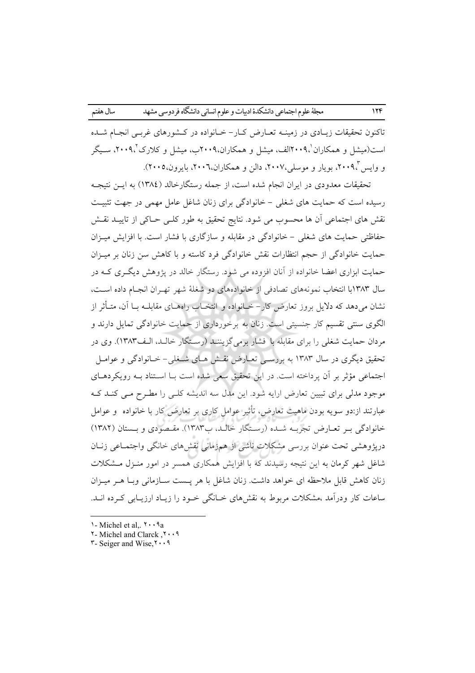تاکنون تحقیقات زیـادی در زمینــه تعــارض کــار– خــانواده در کــشورهای غربــی انجــام شــده است(میشل و همکاران '۲۰۰۹الف، میشل و همکاران،۲۰۰۹ب، میشل و کلارک '،۲۰۰۹، سیگر و واپس ۲۰۰۹، بویار و موسلی،۲۰۰۷، دالن و همکاران،۲۰۰۲، بایرون،۲۰۰۵).

تحقیقات معدودی در ایران انجام شده است، از جمله رستگارخالد (١٣٨٤) به ایـن نتیجـه رسیده است که حمایت های شغلی - خانوادگی برای زنان شاغل عامل مهمی در جهت تثبیت نقش های اجتماعی آن ها محسوب می شود. نتایج تحقیق به طور کلـی حـاکی از تاییــد نقـش حفاظتی حمایت های شغلی – خانوادگی در مقابله و سازگاری با فشار است. با افزایش میزان حمایت خانوادگی از حجم انتظارات نقش خانوادگی فرد کاسته و با کاهش سن زنان بر میـزان حمایت ابزاری اعضا خانواده از آنان افزوده می شود. رستگار خالد در پژوهش دیگـری کـه در سال ۱۳۸۳با انتخاب نمونههای تصادفی از خانوادههای دو شغلهٔ شهر تهـران انجـام داده اسـت، نشان میدهد که دلایل بروز تعارض کار– خــانواده و انتخــاب راههــای مقابلــه بــا آن، متــأثر از الگوی سنتی تقسیم کار جنسیتی است. زنان به برخورداری از حمایت خانوادگی تمایل دارند و مردان حمایت شغلی را برای مقابله با فشار برمی گزیننـد (رسـتگار خالـد، الـف١٣٨٣). وی در تحقیق دیگری در سال ۱۳۸۳ به بررسـی تعــارض نقــش هــای شــغلی- خــانوادگی و عوامــل اجتماعی مؤثر بر آن یرداخته است. در این تحقیق سعی شده است بـا اسـتناد بـه رویکردهـای موجود مدلی برای تبیین تعارض ارایه شود. این مدل سه اندیشه کلـی را مطـرح مـی کنـد کـه عبارتند از:دو سویه بودن ماهیت تعارض، تأثیر عوامل کاری بر تعارض کار با خانواده ً و عوامل خانوادگی بـر تعـارض تجربـه شـده (رسـتگار خالـد، ب۱۳۸۳). مقـصودی و بــستان (۱۳۸۲) دریژوهشی تحت عنوان بررسی مشکلات ناشی از همزمانی نقشهای خانگی واجتمـاعی زنـان شاغل شهر کرمان به این نتیجه رسیدند که با افزایش همکاری همسر در امور منـزل مـشکلات زنان كاهش قابل ملاحظه اي خواهد داشت. زنان شاغل با هر يـست ســازماني وبــا هــر ميــزان ساعات کار ودرآمد ،مشکلات مربوط به نقشهای خــانگی خــود را زیــاد ارزیــابی کــرده انــد.

- $\lambda$ -Michel et al.,  $\lambda \cdot \lambda$ a
- ۲۰۰۹, Michel and Clarck
- ۲- Seiger and Wise, ۲۰۰۹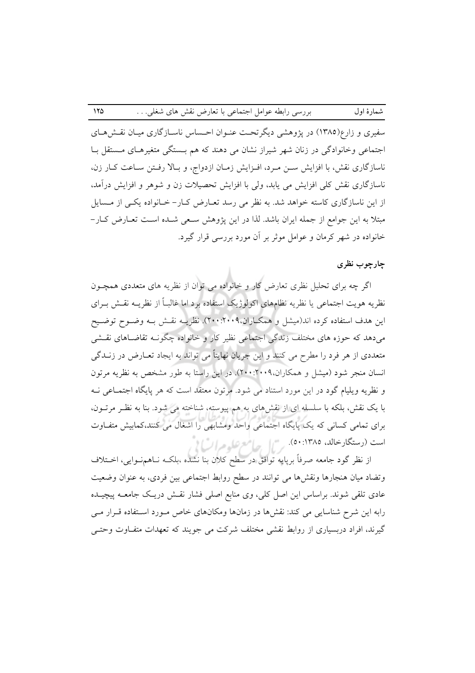سفیری و زارع(۱۳۸۵) در پژوهشی دیگرتحت عنـوان احـساس ناسـازگاری میـان نقـش(هـای اجتماعی وخانوادگی در زنان شهر شیراز نشان می دهند که هم بـستگی متغیرهـای مـستقل بـا ناسازگاری نقش، با افزایش سـن مـرد، افـزایش زمـان ازدواج، و بـالا رفـتن سـاعت كـار زن. ناسازگاری نقش کلی افزایش می یابد، ولی با افزایش تحصیلات زن و شوهر و افزایش درآمد. از این ناسازگاری کاسته خواهد شد. به نظر می رسد تعـارض کـار- خـانواده یکـی از مـسایل مبتلا به این جوامع از جمله ایران باشد. لذا در این پژوهش سـعی شـده اسـت تعــارض کــار– خانواده در شهر کرمان و عوامل موثر بر آن مورد بررسی قرار گیرد.

#### چارچوب نظری

اگر چه برای تحلیل نظری تعارض کار و خانواده می توان از نظریه های متعددی همچــون نظریه هویت اجتماعی یا نظریه نظامهای اکولوژیک استفاده برد اما غالبـاً از نظریــه نقــش بــرای این هدف استفاده کرده اند(میشل و همکـاران،۲۰۰۹:۲۰۰۹). نظریــه نقــش بــه وضــوح توضــیح میدهد که حوزه های مختلف زندگی اجتماعی نظیر کار و خانواده چگونـه تقاضـاهای نقـشی متعددي از هر فرد را مطرح مي كنند و اين جريان نهايتاً مي تواند به ايجاد تعــارض در زنــدگي انسان منجر شود (میشل و همکاران،۲۰۰۹:۲۰۰۹). در این راستا به طور مشخص به نظریه مرتون و نظریه ویلیام گود در این مورد استناد می شود. مرتون معتقد است که هر پایگاه اجتمـاعی نــه با یک نقش، بلکه با سلسله ای از نقشهای به هم پیوسته، شناخته می شود. بنا به نظر مرتبون، برای تمامی کسانی که یک پایگاه اجتماعی واحد ومشابهی را اشغال می کنند،کمابیش متفـاوت است (رستگارخالد، ۱۳۸۵: ۵۰). من العظم السلم السلم الم

از نظر گود جامعه صرفاً برپایه توافق در سطح کلان بنا نشده ،بلکـه نـاهـمنــوایـی، اخــتلاف وتضاد میان هنجارها ونقشها می توانند در سطح روابط اجتماعی بین فردی، به عنوان وضعیت عادی تلقی شوند. براساس این اصل کلی، وی منابع اصلی فشار نقـش دریـک جامعــه پیچیــده رابه این شرح شناسایی می کند: نقشها در زمانها ومکانهای خاص مـورد اسـتفاده قـرار مـی گیرند، افراد دربسیاری از روابط نقشی مختلف شرکت می جویند که تعهدات متفـاوت وحتـی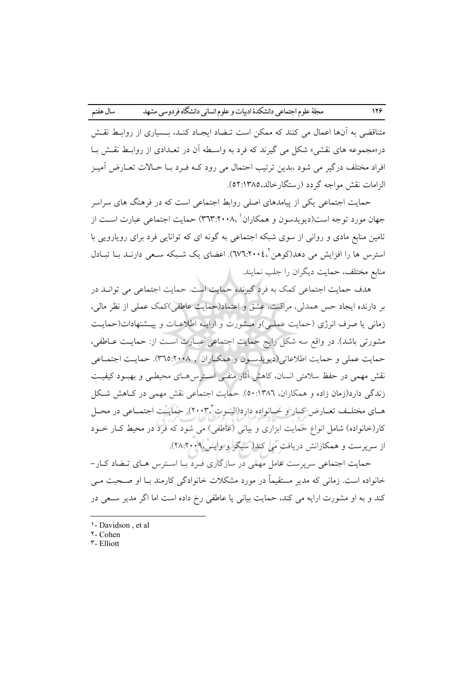متناقضی به آنها اعمال می کنند که ممکن است تـضاد ایجـاد کنـد، پـساری از روابـط نقـش در«مجموعه های نقشی» شکل می گیرند که فرد به واسـطه آن در تعـدادی از روابـط نقـش بـا افراد مختلف درگیر می شود ،بدین ترتیب احتمال می رود کـه فـرد بــا حــالات تعــارض آمیــز الزامات نقش مواجه گردد (رستگار خالد، ۱۳۸۵: ۵۲).

حمایت اجتماعی یکی از پیامدهای اصلی روابط اجتماعی است که در فرهنگ های سراسر جهان مورد توجه است(دیویدسون و همکاران ' ۳٦٣:۲۰۰۸) حمایت اجتماعی عبارت اسـت از تامین منابع مادی و روانی از سوی شبکه اجتماعی به گونه ای که توانایی فرد برای رویارویی با استرس ها را افزایش می دهد(کوهن'،۲۰۰٤:۲۷٦). اعضای یک شـبکه سـعی دارنـد بـا تبـادل منابع مختلف، حمايت ديگران را جلب نمايند.

هدف حمایت اجتماعی کمک به فرد گیرنده حمایت است. حمایت اجتماعی می توانـد در بر دارنده ایجاد حس همدلی، مراقبت، عشق و اعتماد(حمایت عاطفی)کمک عملی از نظر مالی، زمانی یا صرف انرژی (حمایت عملـی)و مـشورت و ارایـه اطلاعـات و پیـشنهادات(حمایـت مشورتی باشد). در واقع سه شکل رایج حمایت اجتماعی عبـارت اسـت از: حمایـت عــاطفی، حمايت عملي و حمايت اطلاعاتي(ديويدسـون و همكـاران , ٣٦٥:٢٠٠٨). حمايـت اجتمـاعي نقش مهمی در حفظ سلامتی انسان، کاهش آثار منفـی اسـترس۵هـای محیطـی و بهبـود کیفیـت زندگی دارد(زمان زاده و همکاران، ۱۳۸۲: ۵۰). حمایت اجتماعی نقش مهمی در کـاهش شـکل هـاي مختلـف تعــارض كــار و خــانواده دارد(اليــوت"،٢٠٠٣). حمايــت اجتمــاعي در محــل کار(خانواده) شامل انواع حمایت ابزاری و بیانی (عاطفی) می شود که فرد در محیط کـار خــود از سرپرست و همکارانش دریافت می کند( سیگر و واپس،۲۰۰۹:۲۸:۲۸).

حمایت اجتماعی سرپرست عامل مهمی در سازگاری فـرد بـا اسـترس هـای تـضاد کـار-خانواده است. زمانی که مدیر مستقیماً در مورد مشکلات خانوادگی کارمند بـا او صـحبت مــی کند و به او مشورت ارایه می کند، حمایت بیانی یا عاطفی رخ داده است اما اگر مدیر سعی در

<sup>1-</sup> Davidson, et al.

**Y**-Cohen **T-Elliott**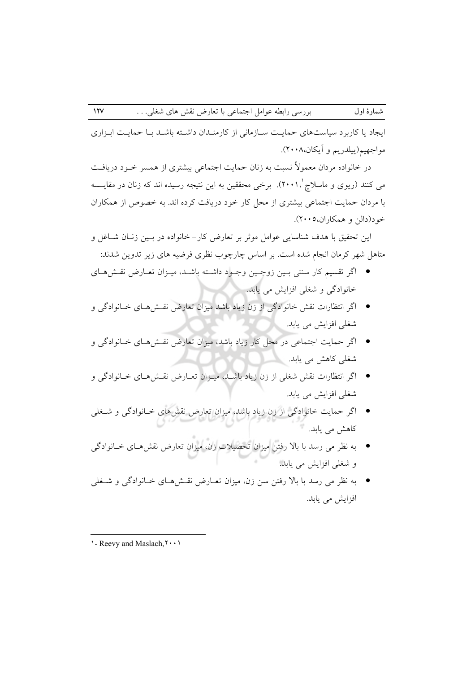ایجاد یا کاربرد سیاستهای حمایت سازمانی از کارمندان داشته باشد با حمایت ابزاری مواجهيم(ييلدريم و آيكان،٢٠٠٨).

در خانواده مردان معمولاً نسبت به زنان حمایت اجتماعی بیشتری از همسر خــود دریافــت می کنند (ریوی و ماسلاچ ۲۰۰۱،'). برخی محققین به این نتیجه رسیده اند که زنان در مقایــسه با مردان حمایت اجتماعی بیشتری از محل کار خود دریافت کرده اند. به خصوص از همکاران خود(دالن و همکاران،۲۰۰۵).

این تحقیق با هدف شناسایی عوامل موثر بر تعارض کار– خانواده در بـین زنـان شــاغل و متاهل شهر کرمان انجام شده است. بر اساس چارچوب نظری فرضیه های زیر تدوین شدند:

- اگر تقسیم کار سنتی بـین زوجـین وجـود داشـته باشـد، میـزان تعـارض نقـشهـای خانوادگی و شغلی افزایش می یابد.
- اگر انتظارات نقش خانوادگی از زن زیاد باشد میزان تعارض نقشهای خـانوادگی و شغلی افزایش می یابد.
- اگر حمایت اجتماعی در محل کار زیاد باشد، میزان تعارض نقشهای خـانوادگی و شغلی کاهش می یابد.
- اگر انتظارات نقش شغلی از زن زیاد باشـد، میـزان تعـارض نقـش۵ـای خـانوادگی و شغلي افزايش مي يابد.
- اگر حمایت خانوادگی از زن زیاد باشد، میزان تعارض نقشهای خـانوادگی و شــغلی کاهش می یابد.
- به نظر می رسد با بالا رفتن میزان تحصیلات زن، میزان تعارض نقشهـای خـانوادگی و شغلی افزایش می یابد.
- به نظر می رسد با بالا رفتن سن زن، میزان تعـارض نقـش۵حـای خـانوادگی و شــغلی افزايش مى يابد.

<sup>1 -</sup> Reevy and Maslach, Y. . . .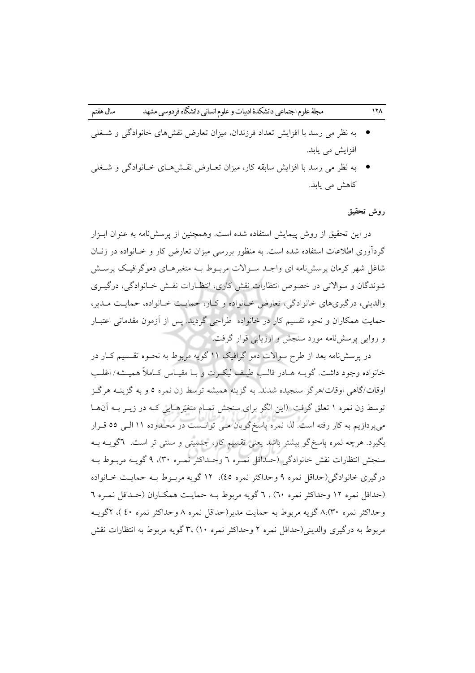- به نظر می رسد با افزایش تعداد فرزندان، میزان تعارض نقشهای خانوادگی و شـغلی افزایش می یابد.
- به نظر می رسد با افزایش سابقه کار، میزان تعـارض نقـش۵ـای خـانوادگی و شـغلی كاهش مى يابد.

## روش تحقيق

در این تحقیق از روش پیمایش استفاده شده است. وهمچنین از پرسشنامه به عنوان ابـزار گردآوری اطلاعات استفاده شده است. به منظور بررسی میزان تعارض کار و خـانواده در زنــان شاغل شهر کرمان پرسش نامه ای واجـد سـوالات مربـوط بـه متغیرهـای دموگرافیـک پرسـش شوندگان و سوالاتی در خصوص انتظارات نقش کاری، انتظـارات نقــش خــانوادگی، درگیــری والدینی، درگیری های خانوادگی، تعارض خیانواده و کیار، حمایت خیانواده، حمایت میدیر، حمایت همکاران و نحوه تقسیم کار در خانواده طراحی گردید. پس از آزمون مقدماتی اعتبـار و روایی پرسش نامه مورد سنجش و ارزیابی قرار گرفت.

در پرسش نامه بعد از طرح سوالات دمو گرافیک ۱۱ گویه مربوط به نحـوه تقــسیم کــار در خانواده وجود داشت. گویـه هـادر قالـب طبـف ليكـرت و بـا مقبـاس كـاملاً هميــشه/اغلـب اوقات/گاهی اوقات/هرگز سنجیده شدند. به گزینه همیشه توسط زن نمره ٥ و به گزینــه هرگــز توسط زن نمره ۱ تعلق گرفت. (این الگو برای سنجش تمـام متغیّرهـایی کـه در زیــر بــه اَنهــا می پردازیم به کار رفته است. لذا نمره پاسخ گویان مـی توانـست در محـدوده ۱۱ الـی ٥٥ قـرار بگیرد. هرچه نمره پاسخگو بیشتر باشد یعنی تقسیم کار، جنسیتی و سنتی تر است. ٦گویــه بــه سنجش انتظارات نقش خانوادگی (حـداقل نمـره ٦ وحـداکثر نمـره ٣٠)، ٩ گويــه مربــوط بــه درگیری خانوادگی(حداقل نمره ۹ وحداکثر نمره ٤٥)، ۱۲ گویه مربـوط بـه حمایـت خـانواده (حداقل نمره ١٢ وحداكثر نمره ٦٠) ، ٦ گويه مربوط بـه حمايـت همكـاران (حـداقل نمـره ٦ وحداكثر نمره ٨،(٣٠) گويه مربوط به حمايت مدير(حداقل نمره ٨ وحداكثر نمره ٤٠)، ٢گويــه مربوط به درگیری والدینی(حداقل نمره ۲ وحداکثر نمره ۱۰) ،۳ گویه مربوط به انتظارات نقش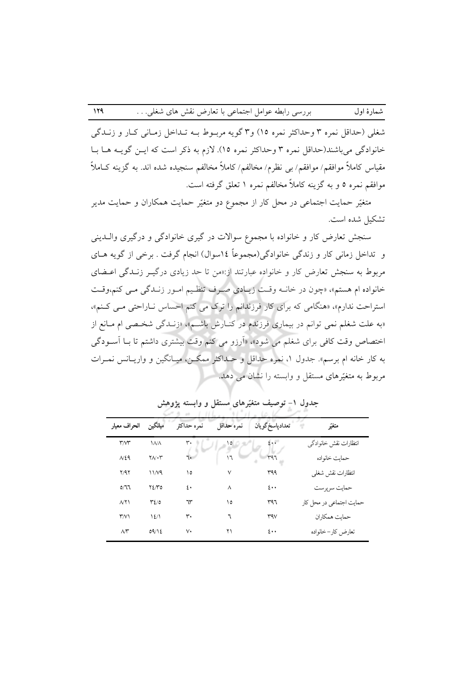شغلي (حداقل نمره ۳ وحداكثر نمره ۱۵) و۳ گويه مربـوط بــه تــداخل زمــاني كــار و زنــدگي خانوادگی می باشند(حداقل نمره ۳ وحداکثر نمره ۱۵). لازم به ذکر است که ایــن گویــه هــا بــا مقياس كاملاً موافقم/ موافقم/ بي نظرم/ مخالفم/ كاملاً مخالفم سنجيده شده اند. به گزينه كــاملاً موافقم نمره ٥ و به گزینه کاملاً مخالفم نمره ١ تعلق گرفته است.

متغیّر حمایت اجتماعی در محل کار از مجموع دو متغیّر حمایت همکاران و حمایت مدیر تشكيل شده است.

سنجش تعارض کار و خانواده با مجموع سوالات در گیری خانوادگی و درگیری واللدینی و تداخل زمانی کار و زندگی خانوادگی(مجموعاً ١٤سوال) انجام گرفت . برخی از گویه هــای مربوط به سنجش تعارض کار و خانواده عبارتند از:«من تا حد زیادی درگیـر زنـدگی اعـضای خانواده ام هستم»، «چون در خانــه وقـت زيـادي صـرف تنظـيم امـور زنــدگي مـي كنم،وقـت استراحت ندارم»، «هنگامی که برای کار فرزندانم را ترک می کنم احساس نـاراحتی مـی کـنم»، «به علت شغلم نمی توانم در بیماری فرزندم در کنـارش باشـم». «زنـدگی شخـصی ام مـانع از اختصاص وقت کافی برای شغلم می شود»، «اَرزو می کنم وقت بیشتری داشتم تا بـا اَسـودگی به کار خانه ام برسم». جدول ۱، نمره حداقل و حـداکثر ممکـن، میـانگین و واریـانس نمـرات مربوط به متغیّرهای مستقل و وابسته را نشان می دهد.

| انحراف معيار            | ميانگين                    | نمره حداكثر    | نمره حداقل | تعدادياسخ گويان         | متغيّر                   |
|-------------------------|----------------------------|----------------|------------|-------------------------|--------------------------|
| $\mathsf{r} \mathsf{w}$ | <b>INA</b>                 | ٣٠             |            | 2                       | انتظارات نقش خانوادگی    |
| N29                     | $\Upsilon \wedge \Upsilon$ | ٦.             | ١٦         | ray                     | حمايت خانواده            |
| Y/9Y                    | 11/4                       | ١٥             | ٧          | ۳۹۹                     | انتظارات نقش شغلي        |
| 0/11                    | ۲٤/٣٥                      | $\mathfrak{L}$ | $\lambda$  | $\mathfrak{t}$          | حمايت سرپرست             |
| $\wedge \wedge$         | $Y\Sigma/0$                | ٦٣             | ١٥         | ۳۹٦                     | حمایت اجتماعی در محل کار |
| $\mathsf{r} \mathsf{w}$ | 12/1                       | ٣٠             | ٦          | $\mathsf{r}\mathsf{av}$ | حمايت همكاران            |
| $\mathcal{N}^{\star}$   | 09/12                      | v٠             | ۲۱         | $\mathfrak{t}$          | تعارض كار–خانواده        |

جدول ۱– توصیف متغیّرهای مستقل و وابسته یژوهش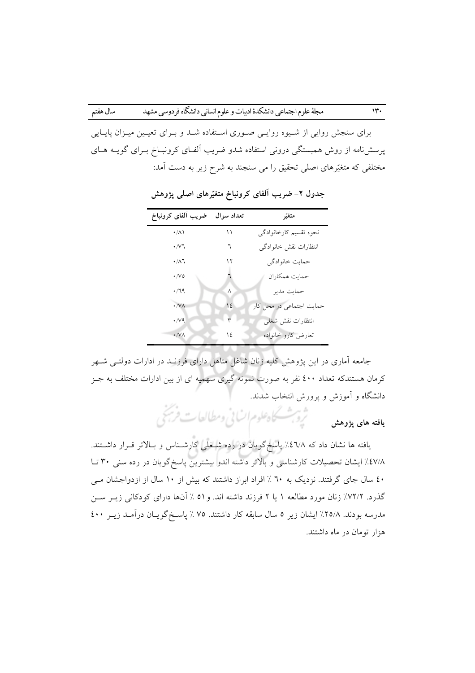برای سنجش روایی از شـیوه روایـی صـوری اسـتفاده شـد و بـرای تعیـین میـزان پایـایی پرسشنامه از روش همبستگی درونی استفاده شدو ضریب آلفـای کرونبـاخ بـرای گویــه هــای مختلفی که متغیّرهای اصلی تحقیق را می سنجند به شرح زیر به دست آمد:

| ضريب ألفاى كرونباخ | تعداد سوال | متغيّر                   |
|--------------------|------------|--------------------------|
| $\cdot/\lambda$    | ۱۱         | نحوه تقسيم كارخانوادگي   |
| $\cdot$ / $\vee$ ٦ | ٦          | انتظارات نقش خانوادگى    |
| $\cdot/\lambda$ ٦  | ۱۲         | حمايت خانوادگي           |
| $\cdot/\vee\circ$  |            | حمايت همكاران            |
| $\cdot$ /79        | ٨          | حمايت مدير               |
| $\cdot$ /VA        | ١٤         | حمایت اجتماعی در محل کار |
| $\cdot$ / $\vee$ 9 | ٣          | انتظارات نقش شغلى        |
| $\cdot$ /VA        | ١٤         | تعارض كارو خانواده       |

جدول ۲– ضریب آلفای کرونباخ متغیّرهای اصلی پژوهش

جامعه آماری در این پژوهش کلیه زنان شاغل متاهل دارای فرزنـد در ادارات دولتــی شــهر کرمان هستندکه تعداد ٤٠٠ نفر به صورت نمونه گیری سهمیه ای از بین ادارات مختلف به جـز دانشگاه و آموزش و پرورش انتخاب شدند.

> ثروب كاهلوم اساني ومطالعات فربخي .<br>يافته هاي يژوهش

یافته ها نشان داد که ۱/٤٦٪ پاسخگویان در رده شـخلی کارشـناس و بـالاتر قــرار داشــتند. ٤٧/٨٪ ایشان تحصیلات کارشناسی و بالاتر داشته اندو بیشترین پاسخ گویان در رده سنی ۳۰ تـا ٤٠ سال جاي گرفتند. نزديک به ٦٠ ٪ افراد ابراز داشتند که بيش از ١٠ سال از ازدواجشان مــي گذرد. ٧٢/٢٪ زنان مورد مطالعه ١ يا ٢ فرزند داشته اند. و ٥١ ٪ آنها داراي كودكاني زيـر سـن مدرسه بودند. ٢٥/٨٪ ایشان زیر ٥ سال سابقه کار داشتند. ٧٥ ٪ پاسخ گویـان درآمـد زیـر ٤٠٠ هزار تومان در ماه داشتند.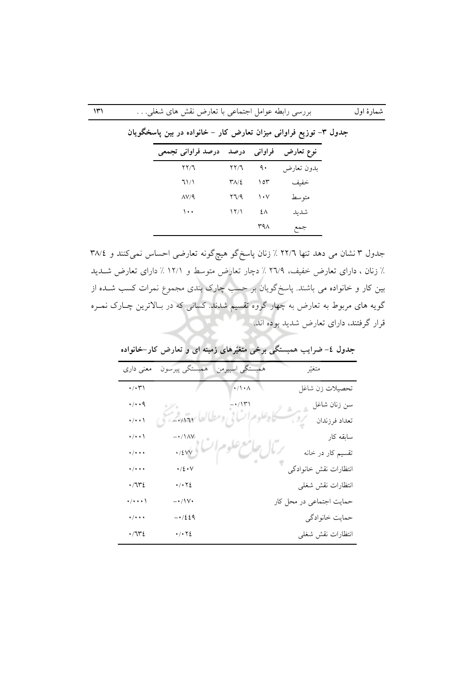## بررسی رابطه عوامل اجتماعی با تعارض نقش های شغلی. . .

شمارهٔ اول

| درصد فراواني تجمعي |                                | فراواني درصد | نوع تعارض  |
|--------------------|--------------------------------|--------------|------------|
| ۲۲/٦               | $\uparrow \uparrow / \uparrow$ | ٩.           | بدون تعارض |
| ٦١/١               | $\Upsilon\Lambda/\Sigma$       | ۱٥۳          | خفيف       |
| $\Delta V/9$       | ۲٦/۹                           | ۱۰۷          | متو سط     |
| ۱۰۰                | $\frac{17}{1}$                 | ٤٨           | شديد       |
|                    |                                | ۳۹۸          | جمع        |

جدول ۳– توزیع فراوانی میزان تعارض کار – خانواده در بین پاسخگویان

جدول ۳ نشان می دهد تنها ۲۲/٦ ٪ زنان پاسخگو هیچگونه تعارضی احساس نمیکنند و ۳۸/٤ ٪ زنان ، دارای تعارض خفیف، ۲٦/۹ ٪ دچار تعارض متوسط و ۱۲/۱ ٪ دارای تعارض شـدید بین کار و خانواده می باشند. پاسخگویان بر حسب چارک بندی مجموع نمرات کسب شــده از گویه های مربوط به تعارض به چهار گروه تقسیم شدند. کسانی که در بـالاترین چـارک نمـره قرار گرفتند، دارای تعارض شدید بوده اند.

| معنی داری                         |                                   | همبستگي اسپيرمن همبستگي پيرسون          | متغيّر                   |
|-----------------------------------|-----------------------------------|-----------------------------------------|--------------------------|
| $\cdot/\cdot\!\!\uparrow\uparrow$ |                                   | $\sqrt{\phantom{a}}/\sqrt{\phantom{a}}$ | تحصيلات زن شاغل          |
| $\cdot/\cdot\cdot$ q              |                                   |                                         | سن زنان شاغل             |
| $\cdot/\cdot\cdot$                | $-111$                            |                                         | تعداد فرزندان            |
| $\cdot/\cdot\cdot$                | $-*/1\,\mathrm{AV}$               |                                         | سابقه کار                |
| $\cdot/\cdot\cdot\cdot$           | $\cdot$ /٤٧٧                      |                                         | تقسیم کار در خانه        |
| $\frac{1}{2}$                     | $\cdot / \xi \cdot V$             |                                         | انتظارات نقش خانوادگى    |
| ٤٦٣٠،                             | $\cdot/\cdot$ $\cdot$ $\cdot$     |                                         | انتظارات نقش شغلى        |
| $\cdot/\cdot\cdot\cdot$           | $-\cdot/\sqrt{\cdot}$             |                                         | حمایت اجتماعی در محل کار |
| $\cdot/\cdot\cdot\cdot$           | $-1/229$                          |                                         | حمايت خانوادگي           |
| ٤٦٣٤.                             | $\cdot$ / $\cdot$ $\cdot$ $\cdot$ |                                         | انتظارات نقش شغلى        |
|                                   |                                   |                                         |                          |

جدول ٤- ضرایب همبستگی برخی متغیّرهای زمینه ای و تعارض کار-خانواده

 $\mathcal{W}'$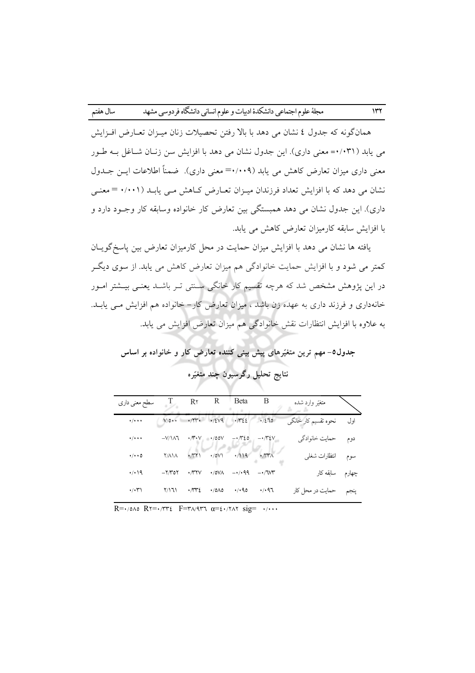همانگونه که جدول ٤ نشان می دهد با بالا رفتن تحصیلات زنان میزان تعبارض افیزایش می یابد (۰٫۰۳۱= معنی داری). این جدول نشان می دهد با افزایش سن زنـان شـاغل بـه طـور معنی داری میزان تعارض کاهش می پابد (۰۰۹–= معنی داری). ضمناً اطلاعات ایـن جــدول نشان می دهد که با افزایش تعداد فرزندان میـزان تعـارض کـاهش مـی یابـد (۰/۰۰۱ = معنـی داری). این جدول نشان می دهد همبستگی بین تعارض کار خانواده وسابقه کار وجـود دارد و با افزایش سابقه کارمیزان تعارض کاهش می یابد.

یافته ها نشان می دهد با افزایش میزان حمایت در محل کارمیزان تعارض بین یاسخگویـان کمتر می شود و با افزایش حمایت خانوادگی هم میزان تعارض کاهش می پابد. از سوی دیگـر در این یژوهش مشخص شد که هرچه تقسیم کار خانگی سنتی تـر باشــد یعنــی بیــشتر امــور خانهداری و فرزند داری به عهده زن باشد ، میزان تعارض کار– خانواده هم افزایش مــی یابــد. به علاوه با افزایش انتظارات نقش خانوادگی هم میزان تعارض افزایش می یابد.

جدول٥- مهم ترین متغیّرهای پیش بینی کننده تعارض کار و خانواده بر اساس نتايج تحليل رگرسيون چند متغيّره

| R<br>Beta<br>B<br>$R\tau$<br>متغيّر وارد شده<br>سطح معنی داری<br>اول<br>$\cdot$<br>نحوه تقسیم کار خانگی<br>.12V9<br>$\cdot \pi \epsilon$<br>$V/\circ \cdot \cdot$<br>1/270<br>$\cdot/\cdot\cdot\cdot$<br>دوم<br>حمايت خانوادگي<br>$\cdot \wedge \cdot \vee$<br>$-\cdot\pi$ <i>20</i><br>$-V/\lambda$ ٦<br>$-\cdot\pi\epsilon$ v<br>$\cdot$ /00V<br>$\cdot/\cdot\cdot\cdot$<br>$\cdot$ /0V1 $\cdot$ /119 $\cdot$ /111<br>$\cdot$<br>سوم انتظارات شغل <sub>ی</sub><br><b>Y/AIA</b><br>$\cdot/\cdot\cdot$ 0<br>چهارم سابقه کار<br>$-1.99$<br>$\cdot/\cdot$ 19<br>$\cdot$ $\pi$ y<br>$\cdot$ /0VA<br>$-Y$ /۳۵۲<br>$-1.7W$<br>$\cdot$ $\pi$<br>4.40<br>4/197<br>$\cdot/\cdot$ ۳۱<br>Y/171<br>$\cdot$ /0/10<br>حمایت در محل کار |  |  |  |  |
|---------------------------------------------------------------------------------------------------------------------------------------------------------------------------------------------------------------------------------------------------------------------------------------------------------------------------------------------------------------------------------------------------------------------------------------------------------------------------------------------------------------------------------------------------------------------------------------------------------------------------------------------------------------------------------------------------------------------------|--|--|--|--|
|                                                                                                                                                                                                                                                                                                                                                                                                                                                                                                                                                                                                                                                                                                                           |  |  |  |  |
|                                                                                                                                                                                                                                                                                                                                                                                                                                                                                                                                                                                                                                                                                                                           |  |  |  |  |
|                                                                                                                                                                                                                                                                                                                                                                                                                                                                                                                                                                                                                                                                                                                           |  |  |  |  |
|                                                                                                                                                                                                                                                                                                                                                                                                                                                                                                                                                                                                                                                                                                                           |  |  |  |  |
|                                                                                                                                                                                                                                                                                                                                                                                                                                                                                                                                                                                                                                                                                                                           |  |  |  |  |
|                                                                                                                                                                                                                                                                                                                                                                                                                                                                                                                                                                                                                                                                                                                           |  |  |  |  |

 $R = \cdot \text{max} R = \cdot \text{max} F = \text{max} R = \text{max} R = \text{max} R = \text{max} R = \text{max} R = \text{max} R = \text{max} R = \text{max} R = \text{max} R = \text{max} R = \text{max} R = \text{max} R = \text{max} R = \text{max} R = \text{max} R = \text{max} R = \text{max} R = \text{max} R = \text{max} R = \text{max} R = \text{max} R = \text{max} R = \text{max} R = \text{max} R = \text{max} R = \text{max} R = \text{max} R = \text{max} R = \text{max$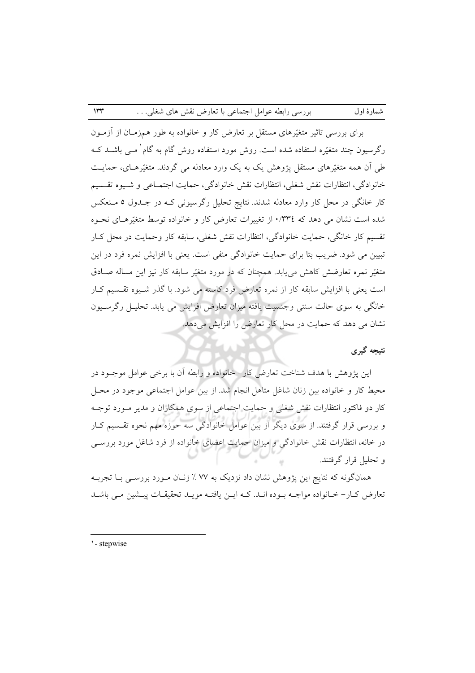برای بررسی تاثیر متغیّدِهای مستقل بر تعارض کار و خانواده به طور همزمـان از آزمـون رگرسیون چند متغیّره استفاده شده است. روش مورد استفاده روش گام به گام معبی باشــد کــه طی آن همه متغیّرهای مستقل یژوهش یک به یک وارد معادله می گردند. متغیّرهـای، حمایـت خانوادگي، انتظارات نقش شغلي، انتظارات نقش خانوادگي، حمايت اجتمـاعي و شـيوه تقـسيم کار خانگی در محل کار وارد معادله شدند. نتایج تحلیل رگرسیونی کـه در جـدول ٥ مـنعکس شده است نشان می دهد که ۰/۳۳٤ از تغییرات تعارض کار و خانواده توسط متغیّرهـای نحـوه تقسیم کار خانگی، حمایت خانوادگی، انتظارات نقش شغلی، سابقه کار وحمایت در محل کـار تبیین می شود. ضریب بتا برای حمایت خانوادگی منفی است. یعنی با افزایش نمره فرد در این متغیّر نمره تعارضش کاهش مییابد. همچنان که در مورد متغیّر سابقه کار نیز این مساله صـادق است یعنی با افزایش سابقه کار از نمره تعارض فرد کاسته می شود. با گذر شـیوه تقـسیم کـار خانگی به سوی حالت سنتی وجنسیت یافته میزان تعارض افزایش می یابد. تحلیــل رگرســیون نشان می دهد که حمایت در محل کار تعارض را افزایش میدهد.

## نتبجه گېرې

شمارهٔ اول

این پژوهش با هدف شناخت تعارض کار- خانواده و رابطه آن با برخی عوامل موجـود در محيط كار و خانواده بين زنان شاغل متاهل انجام شد. از بين عوامل اجتماعي موجود در محـل کار دو فاکتور انتظارات نقش شغلبی و حمایت اجتماعی از سوی همکاران و مدیر مـورد توجـه و بررسی قرار گرفتند. از سوی دیگر از بین عوامل خانوادگی سه حوزه مهم نحوه تقـسیم کـار در خانه، انتظارات نقش خانوادگی و میزان حمایت اعضای خانواده از فرد شاغل مورد بررسبی و تحلیل قرار گرفتند.

همانگونه که نتایج این پژوهش نشان داد نزدیک به ۷۷ ٪ زنـان مـورد بررســی بــا تجربــه تعارض کـار– خـانواده مواجــه بــوده انــد. کــه ايــن يافتــه مويــد تحقيقــات پيــشين مــي باشــد

 $\mathsf{Irr}$ 

<sup>1-</sup> stepwise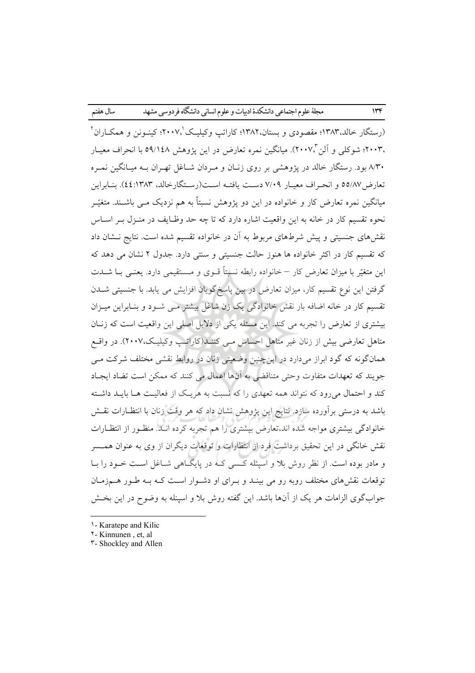(رستگار خالد،۱۳۸۳؛ مقصودی و بستان،۱۳۸۲؛ کاراتب وکیلیک ۲۰۰۷؛ کینیونن و همکباران ۲ ،۲۰۰۳؛ شوکلی و آلن ۲۰۰۷٪. میانگین نمره تعارض در این پژوهش ۵۹/۱٤۸ با انحراف معیـار ۸/۳۰ بود. رستگار خالد در یژوهشی بر روی زنـان و مـردان شـاغل تهـران بـه میـانگین نمـره تعارض/٥٥/٨٧ و انحـراف معيـار ٧/٠٩ دسـت يافتــه اسـت(رسـتگارخالد، ٤٤:١٣٨٣). بنــابراين میانگین نمره تعارض کار و خانواده در این دو پژوهش نسبتاً به هم نزدیک مــی باشــند. متغیّــر نحوه تقسیم کار در خانه به این واقعیت اشاره دارد که تا چه حد وظـایف در منـزل بـر اسـاس نقشهای جنسیتی و پیش شرطهای مربوط به آن در خانواده تقسیم شده است. نتایج نـشان داد که تقسیم کار در اکثر خانواده ها هنوز حالت جنسیتی و سنتی دارد. جدول ۲ نشان می دهد که این متغیّر با میزان تعارض کار – خانواده رابطه نسبتاً قــوی و مــستقیمی دارد. یعنــی بــا شــدت گرفتن این نوع تقسیم کار، میزان تعارض در بین پاسخگویان افزایش می یابد. با جنسیتی شــدن تقسیم کار در خانه اضافه بار نقش خانوادگی یک زن شاغل بیشتر مـی شــود و بنــابراین میــزان بیشتری از تعارض را تجربه می کند. این مسئله یکی از دلایل اصلی این واقعیت است که زنـان متاهل تعارضی بیش از زنان غیر متاهل احساس مــی کننــد(کاراتــب وکیلیـک،۲۰۰۷). در واقــع همانگونه که گود ابراز میدارد در اینچنین وضعیتی زنان در روابط نقشی مختلف شرکت مـی جويند كه تعهدات متفاوت وحتى متناقضي به آنها اعمال مي كنند كه ممكن است تضاد ايجـاد کند و احتمال می رود که نتواند همه تعهدی را که نسبت به هر یک از فعالیت هـا بایـد داشـته باشد به درستی برآورده سازد. نتایج این پژوهش نشان داد که هر وقت زنان با انتظـارات نقــش خانوادگی بیشتری مواجه شده اند،تعارض بیشتری را هم تجربه کرده انــد. منظـور از انتظـارات نقش خانگی در این تحقیق برداشت فرد از انتظارات و توقعات دیگران از وی به عنوان همــسر و مادر بوده است. از نظر روش بلا و اسپنله کسی کـه در پایگـاهی شـاغل اسـت خـود را بـا توقعات نقشهای مختلف روبه رو می بینـد و بـرای او دشـوار اسـت کـه بـه طـور هـمزمـان جواب گوی الزامات هر یک از آنها باشد. این گفته روش بلا و اسپنله به وضوح در این بخــش

<sup>1-</sup> Karatepe and Kilic

Y - Kinnunen, et, al

**T-Shockley and Allen**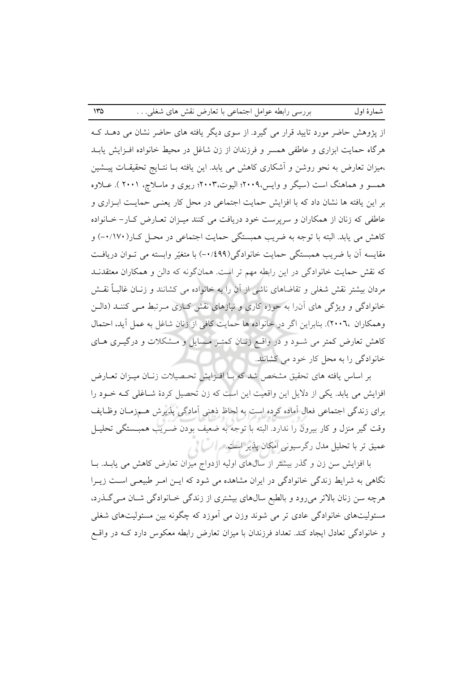از پژوهش حاضر مورد تایید قرار می گیرد. از سوی دیگر یافته های حاضر نشان می دهــد کــه هرگاه حمایت ابزاری و عاطفی همسر و فرزندان از زن شاغل در محیط خانواده افـزایش پابـد ،میزان تعارض به نحو روشن و آشکاری کاهش می یابد. این یافته بـا نتـایج تحقیقـات پیــشین همسو و هماهنگ است (سیگر و وایس،۲۰۰۹؛ الیوت،۲۰۰۳؛ ریوی و ماسلاچ، ۲۰۰۱ ). عــلاوه بر این یافته ها نشان داد که با افزایش حمایت اجتماعی در محل کار یعنـی حمایـت ابـزاری و عاطفی که زنان از همکاران و سرپرست خود دریافت می کنند میـزان تعـارض کـار- خـانواده کاهش می یابد. البته با توجه به ضریب همبستگی حمایت اجتماعی در محـل کـار(۰/۱۷۰) و مقایسه آن با ضریب همبستگی حمایت خانوادگی(۰/٤٩٩-) با متغیّر وابسته می تـوان دریافـت که نقش حمایت خانوادگی در این رابطه مهم تر است. همانگونه که دالن و همکاران معتقدنــد مردان بیشتر نقش شغلی و تقاضاهای ناشی از آن را به خانواده می کشانند و زنـان غالبـاً نقـش خانوادگی و ویژگی های آن را به حوزه کاری و نیازهای نقش کـاری مـرتبط مـی کننـد (دالـن وهمکاران ۲۰۰٦، بنابراین اگر در خانواده ها حمایت کافی از زنان شاغل به عمل آید، احتمال کاهش تعارض کمتر می شـود و در واقـع زنـان کمتـر مـسايل و مـشکلات و درگيـرى هـاى خانوادگی را به محل کار خود می کشانند.

بر اساس يافته هاي تحقيق مشخص شد كه بــا افــزايش تحـصيلات زنــان ميــزان تعــارض افزایش می یابد. یکی از دلایل این واقعیت این است که زن تحصیل کردهٔ شـاغلی کـه خـود را برای زندگی اجتماعی فعال آماده کرده است به لحاظ ذهنی آمادگی پذیرش هـمزمـان وظـایف وقت گير منزل و كار بيرون را ندارد. البته با توجه به ضعيف بودن ضـريب همبـستگي تحليـل عمیق تر با تحلیل مدل رگرسیونی امکان پذیر است. براک از بر

با افزایش سن زن و گذر بیشتر از سالهای اولیه ازدواج میزان تعارض کاهش می یابــد. بــا نگاهی به شرایط زندگی خانوادگی در ایران مشاهده می شود که ایـن امـر طبیعـی اسـت زیـرا هرچه سن زنان بالاتر می رود و بالطبع سالهای بیشتری از زندگی خـانوادگی شـان مـیگـذرد، مسئولیتهای خانوادگی عادی تر می شوند وزن می آموزد که چگونه بین مسئولیتهای شغلی و خانوادگی تعادل ایجاد کند. تعداد فرزندان با میزان تعارض رابطه معکوس دارد کــه در واقــع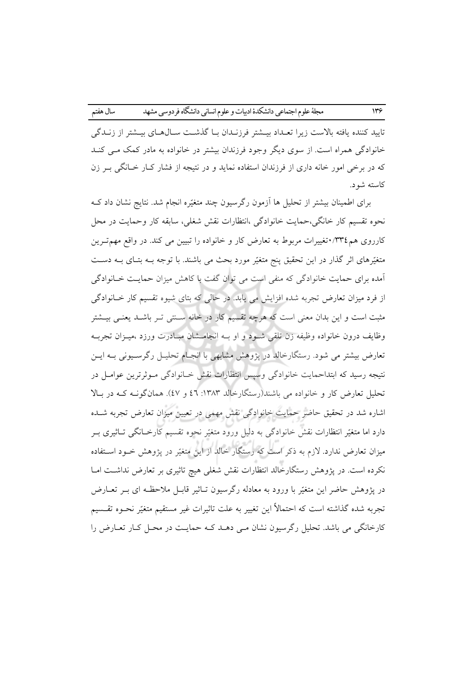تاييد كننده يافته بالاست زيرا تعـداد بيــشتر فرزنــدان بــا گذشــت ســال@عـاي بيــشتر از زنــدگي خانوادگی همراه است. از سوی دیگر وجود فرزندان بیشتر در خانواده به مادر کمک مـبی کنـد که در برخی امور خانه داری از فرزندان استفاده نماید و در نتیجه از فشار کـار خـانگی بـر زن كاسته شود.

برای اطمینان بیشتر از تحلیل ها آزمون رگرسیون چند متغیّره انجام شد. نتایج نشان داد ک نحوه تقسیم کار خانگی،حمایت خانوادگی ،انتظارات نقش شغلی، سابقه کار وحمایت در محل کارروی هم۴۲۳: تغییرات مربوط به تعارض کار و خانواده را تبیین می کند. در واقع مهمترین متغیّرهای اثر گذار در این تحقیق پنج متغیّر مورد بحث می باشند. با توجه بــه بتـای بــه دســت ۔<br>آمدہ برای حمایت خانوادگی که منفی است می توان گفت با کاهش میزان حمایـت خـانوادگی از فرد میزان تعارض تجربه شده افزایش می یابد. در حالی که بتای شیوه تقسیم کار خـانوادگی مثبت است و این بدان معنی است که هرچه تقسیم کار در خانه سـنتی تـر باشـد یعنـی بیـشتر وظايف درون خانواده وظيفه زن تلقى شـود و او بــه انجامــشان مبــادرت ورزد ،ميــزان تجربــه تعارض بیشتر می شود. رستگارخالد در پژوهش مشابهی با انجـام تحلیـل رگرسـیونی بـه ایـن نتیجه رسید که ابتداحمایت خانوادگی وسیس انتظارات نقش خـانوادگی مـوثرترین عوامـل در تحلیل تعارض کار و خانواده می باشند(رستگارخالد ۱۳۸۳: ٤٦ و ٤٧). همانگونــه کــه در بــالا اشاره شد در تحقیق حاضر حمایت خانوادگی نقش مهمی در تعیین میزان تعارض تجربه شـده دارد اما متغیّر انتظارات نقش خانوادگی به دلیل ورود متغیّر نحوه تقسیم کارخــانگی تــاثیری بــر میزان تعارض ندارد. لازم به ذکر است که رستگار خالد از این متغیّر در یژوهش خــود اســتفاده نکرده است. در پژوهش رستگارخالد انتظارات نقش شغلی هیچ تاثیری بر تعارض نداشت امـا در پژوهش حاضر این متغیّر با ورود به معادله رگرسیون تـاثیر قابـل ملاحظـه ای بـر تعــارض تجربه شده گذاشته است که احتمالاً این تغییر به علت تاثیرات غیر مستقیم متغیّر نحــوه تقــسیم کارخانگی می باشد. تحلیل رگرسیون نشان مـی دهـد کـه حمایـت در محـل کـار تعــارض را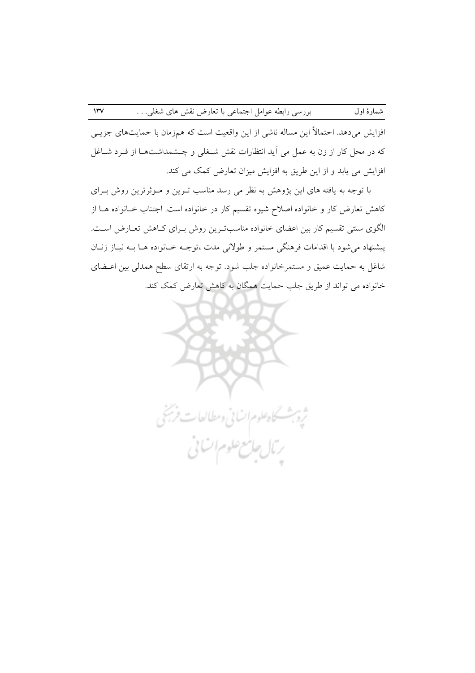افزایش میدهد. احتمالاً این مساله ناشی از این واقعیت است که همزمان با حمایتهای جزیـی که در محل کار از زن به عمل می آید انتظارات نقش شـغلی و چـشمداشتهـا از فـرد شـاغل افزایش می یابد و از این طریق به افزایش میزان تعارض کمک می کند.

شمارهٔ اول

با توجه به یافته های این پژوهش به نظر می رسد مناسب تـرین و مـوثرترین روش بـرای کاهش تعارض کار و خانواده اصلاح شیوه تقسیم کار در خانواده است. اجتناب خـانواده هــا از الگوی سنتی تقسیم کار بین اعضای خانواده مناسبترین روش بـرای کـاهش تعـارض اسـت. پیشنهاد می شود با اقدامات فرهنگی مستمر و طولانی مدت ،توجـه خـانواده هـا بـه نیـاز زنـان شاغل به حمایت عمیق و مستمرخانواده جلب شود. توجه به ارتقای سطح همدلی بین اعـضای خانواده می تواند از طریق جلب حمایت همگان به کاهش تعارض کمک کند.

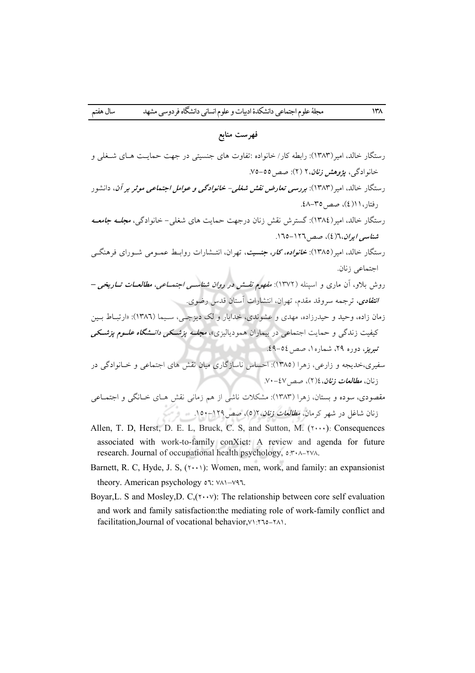سال هفتم

#### فهرست منابع

- رستگار خالد، امیر(۱۳۸۳): رابطه کار/ خانواده :تفاوت های جنسیتی در جهت حمایت هـای شـغلی و خانوادگی، پژوهش ز*نان*،۲ (۲): صص ٥٥-٧٥. <sub>د</sub>ستگار خالد، امیر (۱۳۸۳): *بورسی تعارض نقش شغلی- خانوادگی و عوامل اجتماعی موثر بر آن***، دانشور** رفتار، ١١(٤)، صص ٣٥-٤٨. <sub>۱</sub> ستگار خالد، امبر (١٣٨٤): گسترش نقش زنان درجهت حمایت های شغلی – خانوادگی، *مجلـه جامعـه* شناسیہ ایران، ٦(٤)، صص ١٢٦-١٦٥. رستگار خالد، امیر (۱۳۸۵): *خانواده، کار، جنسیت*، تهران، انتــشارات روابــط عمــومی شــورای فرهنگــی احتماعه زنان روش بلاو، آن ماری و اسپنله (۱۳۷۲): *مفهوم نقـش در روان شناسـی اجتمــاعی، مطالعــات تــاریخی – انتقادی، ترجمه سروقد مقدم، تهران، انتشارات آستان قدس رضوی.* زمان زاده، وحید و حیدرزاده، مهدی و عشوندی، خدایار و لک دیزجے ، سـیما (١٣٨٦): «ارتبـاط بـين کیفیت زندگی و حمایت اجتماعی در بیماران همودیالیزی»، *مجلـه پزشـکی دانــشگاه علــوم پزشـکی* تيريز، دوره ٢٩، شماره ١، صص ٥٤-٤٩. سفیری،خدیجه و زارعه ، زهرا (۱۳۸۵): احساس ناسازگاری میان نقش های اجتماعی و خیانوادگی در زنان، *مطالعات زنان*، ١٤ (٢)، صص ٤٧-٧٠. مقصودی، سوده و بستان، زهرا (۱۳۸۳): مشکلات ناشی از هم زمانی نقش هـای خـانگی و اجتمـاعی زنان شاغل در شهر کرمان، *مطالعات زنان*، ۱۲(٥)، صص1۲۹–۱۵۰.
- Allen, T. D. Herst, D. E. L. Bruck, C. S. and Sutton, M.  $(1 \cdots)$ : Consequences associated with work-to-family conXiet: A review and agenda for future research. Journal of occupational health psychology, ٥:٣٠٨-٢٧٨.
- Barnett, R. C, Hyde, J. S,  $(1 \cdot \cdot \cdot)$ : Women, men, work, and family: an expansionist theory. American psychology  $\circ \iota$ :  $\vee \wedge \iota$ - $\vee \iota \iota$ .
- Boyar, L. S and Mosley, D. C,  $(\gamma \cdot \gamma)$ : The relationship between core self evaluation and work and family satisfaction: the mediating role of work-family conflict and facilitation, Journal of vocational behavior, VETO-TAL.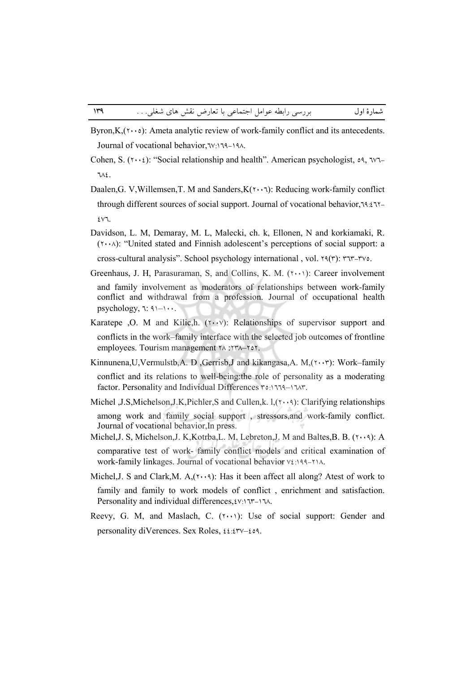- Byron,  $K$ ,  $(\cdot \cdot \cdot)$ : Ameta analytic review of work-family conflict and its antecedents. Journal of vocational behavior, 1V:119-19A.
- Cohen, S.  $(\gamma \cdot \epsilon)$ : "Social relationship and health". American psychologist,  $\circ \gamma$ ,  $\nu\gamma$ - $112$
- Daalen, G. V, Willemsen, T. M and Sanders,  $K(\tau \cdot \cdot \tau)$ : Reducing work-family conflict through different sources of social support. Journal of vocational behavior, 19: £17- $EVI$
- Davidson, L. M. Demaray, M. L. Malecki, ch. k. Ellonen, N and korkiamaki, R.  $(Y \cdot \cdot \wedge)$ : "United stated and Finnish adolescent's perceptions of social support: a

cross-cultural analysis". School psychology international, vol. 19(r): ٣٦٣-٣٧٥.

- Greenhaus, J. H., Parasuraman, S., and Collins, K. M. (1.1): Career involvement and family involvement as moderators of relationships between work-family conflict and withdrawal from a profession. Journal of occupational health psychology,  $\uparrow$ :  $\uparrow$   $\uparrow$   $\uparrow$ ...
- Karatepe , O. M and Kilic, h  $(\cdots \vee)$ : Relationships of supervisor support and conflicts in the work–family interface with the selected job outcomes of frontline employees. Tourism management YA: YYA-YOY.
- Kinnunena, U, Vermulstb, A. D, Gerrisb, J and kikangasa, A. M, (x, er): Work-family conflict and its relations to well-being: the role of personality as a moderating factor. Personality and Individual Differences ro: 1779-1747.
- Michel , J.S, Michelson, J.K, Pichler, S and Cullen, k.  $l, (\gamma \cdot \cdot \gamma)$ : Clarifying relationships among work and family social support, stressors, and work-family conflict. Journal of vocational behavior, In press.
- Michel, J. S., Michelson, J. K., Kotrba, L. M., Lebreton, J. M and Baltes, B. B. (۲۰۰۹): A comparative test of work- family conflict models and critical examination of work-family linkages. Journal of vocational behavior  $v_{\xi}$ : 199-114.
- Michel, J. S and Clark, M. A,  $(\cdot \cdot \cdot \cdot)$ : Has it been affect all along? Atest of work to family and family to work models of conflict, enrichment and satisfaction. Personality and individual differences,  $(v_1 \setminus v_1 - \setminus v_2)$ .
- Reevy, G. M, and Maslach, C. (1.1): Use of social support: Gender and personality diVerences. Sex Roles,  $\mathfrak{t}_{\ell}$ : $\mathfrak{r}_{\nu-\ell}$